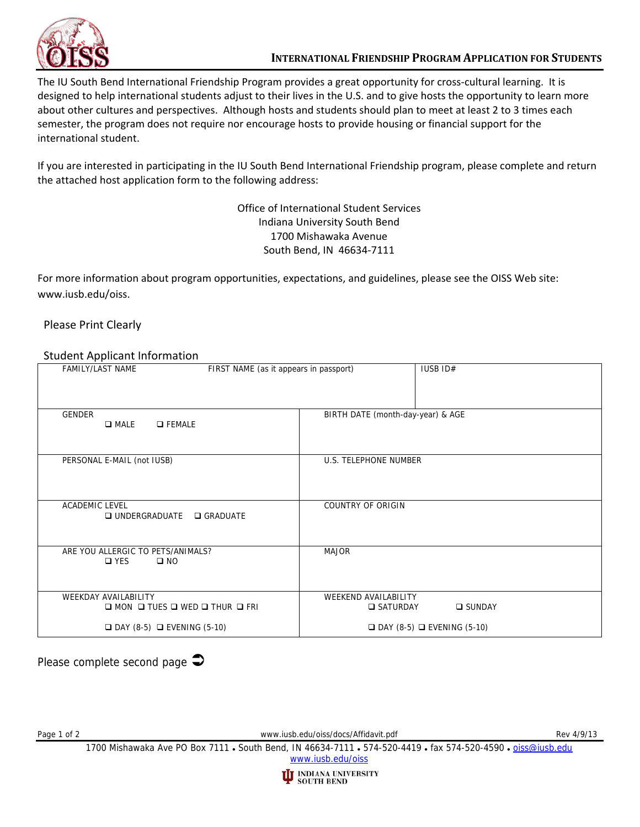

The IU South Bend International Friendship Program provides a great opportunity for cross-cultural learning. It is designed to help international students adjust to their lives in the U.S. and to give hosts the opportunity to learn more about other cultures and perspectives. Although hosts and students should plan to meet at least 2 to 3 times each semester, the program does not require nor encourage hosts to provide housing or financial support for the international student.

If you are interested in participating in the IU South Bend International Friendship program, please complete and return the attached host application form to the following address:

> Office of International Student Services Indiana University South Bend 1700 Mishawaka Avenue South Bend, IN 46634‐7111

For more information about program opportunities, expectations, and guidelines, please see the OISS Web site: www.iusb.edu/oiss.

## Please Print Clearly

## Student Applicant Information

| <b>FAMILY/LAST NAME</b>                                                                 | FIRST NAME (as it appears in passport) |                                                  | IUSB ID#         |
|-----------------------------------------------------------------------------------------|----------------------------------------|--------------------------------------------------|------------------|
| <b>GENDER</b><br><b>O</b> FEMALE<br>$\square$ MALE                                      |                                        | BIRTH DATE (month-day-year) & AGE                |                  |
| PERSONAL E-MAIL (not IUSB)                                                              |                                        | U.S. TELEPHONE NUMBER                            |                  |
| <b>ACADEMIC LEVEL</b><br><b>Q UNDERGRADUATE</b><br><b>Q</b> GRADUATE                    |                                        | <b>COUNTRY OF ORIGIN</b>                         |                  |
| ARE YOU ALLERGIC TO PETS/ANIMALS?<br>$\square$ YES<br>$\square$ NO                      |                                        | <b>MAJOR</b>                                     |                  |
| <b>WEEKDAY AVAILABILITY</b><br>$\Box$ MON $\Box$ TUES $\Box$ WED $\Box$ THUR $\Box$ FRI |                                        | <b>WEEKEND AVAILABILITY</b><br><b>□ SATURDAY</b> | $\square$ SUNDAY |
| $\Box$ DAY (8-5) $\Box$ EVENING (5-10)                                                  |                                        | $\Box$ DAY (8-5) $\Box$ EVENING (5-10)           |                  |

Please complete second page  $\Box$ 

Page 1 of 2 Rev 4/9/13

1700 Mishawaka Ave PO Box 7111 . South Bend, IN 46634-7111 . 574-520-4419 . fax 574-520-4590 . oiss@iusb.edu www.iusb.edu/oiss